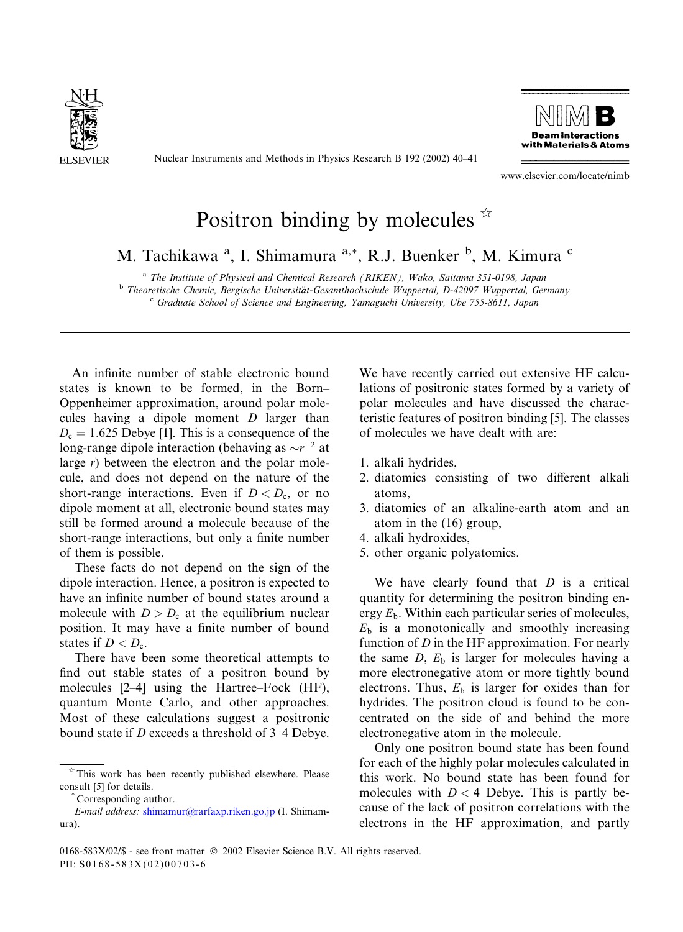

Nuclear Instruments and Methods in Physics Research B 192 (2002) 40–41



www.elsevier.com/locate/nimb

## Positron binding by molecules  $\dot{\mathbb{R}}$

M. Tachikawa<sup>a</sup>, I. Shimamura<sup>a,\*</sup>, R.J. Buenker<sup>b</sup>, M. Kimura<sup>c</sup>

<sup>a</sup> The Institute of Physical and Chemical Research (RIKEN), Wako, Saitama 351-0198, Japan

<sup>b</sup> Theoretische Chemie, Bergische Universität-Gesamthochschule Wuppertal, D-42097 Wuppertal, Germany <sup>c</sup> Graduate School of Science and Engineering, Yamaguchi University, Ube 755-8611, Japan

An infinite number of stable electronic bound states is known to be formed, in the Born– Oppenheimer approximation, around polar molecules having a dipole moment D larger than  $D_c = 1.625$  Debye [1]. This is a consequence of the long-range dipole interaction (behaving as  $\sim r^{-2}$  at large r) between the electron and the polar molecule, and does not depend on the nature of the short-range interactions. Even if  $D < D<sub>c</sub>$ , or no dipole moment at all, electronic bound states may still be formed around a molecule because of the short-range interactions, but only a finite number of them is possible.

These facts do not depend on the sign of the dipole interaction. Hence, a positron is expected to have an infinite number of bound states around a molecule with  $D > D_c$  at the equilibrium nuclear position. It may have a finite number of bound states if  $D < D<sub>c</sub>$ .

There have been some theoretical attempts to find out stable states of a positron bound by molecules [2–4] using the Hartree–Fock (HF), quantum Monte Carlo, and other approaches. Most of these calculations suggest a positronic bound state if D exceeds a threshold of 3–4 Debye.

We have recently carried out extensive HF calculations of positronic states formed by a variety of polar molecules and have discussed the characteristic features of positron binding [5]. The classes of molecules we have dealt with are:

- 1. alkali hydrides,
- 2. diatomics consisting of two different alkali atoms,
- 3. diatomics of an alkaline-earth atom and an atom in the (16) group,
- 4. alkali hydroxides,
- 5. other organic polyatomics.

We have clearly found that  $D$  is a critical quantity for determining the positron binding energy  $E_b$ . Within each particular series of molecules,  $E<sub>b</sub>$  is a monotonically and smoothly increasing function of  $D$  in the HF approximation. For nearly the same  $D$ ,  $E<sub>b</sub>$  is larger for molecules having a more electronegative atom or more tightly bound electrons. Thus,  $E<sub>b</sub>$  is larger for oxides than for hydrides. The positron cloud is found to be concentrated on the side of and behind the more electronegative atom in the molecule.

Only one positron bound state has been found for each of the highly polar molecules calculated in this work. No bound state has been found for molecules with  $D < 4$  Debye. This is partly because of the lack of positron correlations with the electrons in the HF approximation, and partly

 $*$  This work has been recently published elsewhere. Please consult [5] for details. \* Corresponding author.

E-mail address: [shimamur@rarfaxp.riken.go.jp](mail to: shimamur@rarfaxp.riken.go.jp) (I. Shimamura).

<sup>0168-583</sup>X/02/\$ - see front matter  $\odot$  2002 Elsevier Science B.V. All rights reserved. PII: S0168-583X(02)00703-6